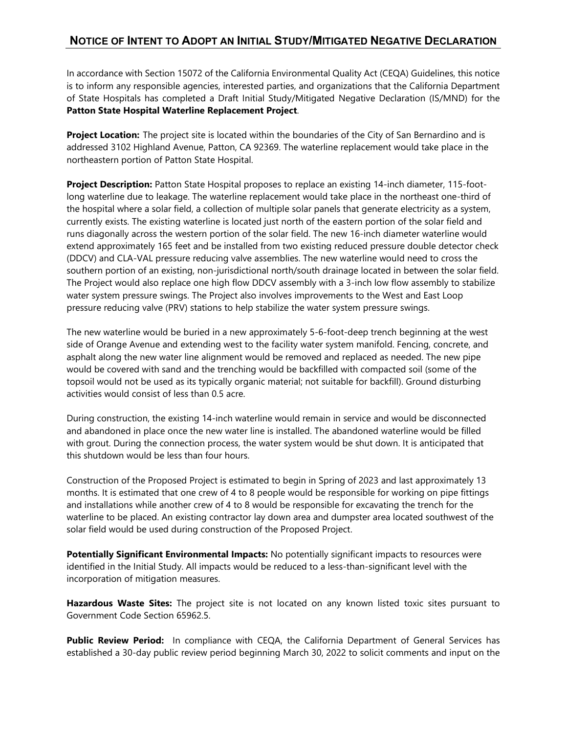## **NOTICE OF INTENT TO ADOPT AN INITIAL STUDY/MITIGATED NEGATIVE DECLARATION**

In accordance with Section 15072 of the California Environmental Quality Act (CEQA) Guidelines, this notice is to inform any responsible agencies, interested parties, and organizations that the California Department of State Hospitals has completed a Draft Initial Study/Mitigated Negative Declaration (IS/MND) for the **Patton State Hospital Waterline Replacement Project**.

**Project Location:** The project site is located within the boundaries of the City of San Bernardino and is addressed 3102 Highland Avenue, Patton, CA 92369. The waterline replacement would take place in the northeastern portion of Patton State Hospital.

**Project Description:** Patton State Hospital proposes to replace an existing 14-inch diameter, 115-footlong waterline due to leakage. The waterline replacement would take place in the northeast one-third of the hospital where a solar field, a collection of multiple solar panels that generate electricity as a system, currently exists. The existing waterline is located just north of the eastern portion of the solar field and runs diagonally across the western portion of the solar field. The new 16-inch diameter waterline would extend approximately 165 feet and be installed from two existing reduced pressure double detector check (DDCV) and CLA-VAL pressure reducing valve assemblies. The new waterline would need to cross the southern portion of an existing, non-jurisdictional north/south drainage located in between the solar field. The Project would also replace one high flow DDCV assembly with a 3-inch low flow assembly to stabilize water system pressure swings. The Project also involves improvements to the West and East Loop pressure reducing valve (PRV) stations to help stabilize the water system pressure swings.

The new waterline would be buried in a new approximately 5-6-foot-deep trench beginning at the west side of Orange Avenue and extending west to the facility water system manifold. Fencing, concrete, and asphalt along the new water line alignment would be removed and replaced as needed. The new pipe would be covered with sand and the trenching would be backfilled with compacted soil (some of the topsoil would not be used as its typically organic material; not suitable for backfill). Ground disturbing activities would consist of less than 0.5 acre.

During construction, the existing 14-inch waterline would remain in service and would be disconnected and abandoned in place once the new water line is installed. The abandoned waterline would be filled with grout. During the connection process, the water system would be shut down. It is anticipated that this shutdown would be less than four hours.

Construction of the Proposed Project is estimated to begin in Spring of 2023 and last approximately 13 months. It is estimated that one crew of 4 to 8 people would be responsible for working on pipe fittings and installations while another crew of 4 to 8 would be responsible for excavating the trench for the waterline to be placed. An existing contractor lay down area and dumpster area located southwest of the solar field would be used during construction of the Proposed Project.

**Potentially Significant Environmental Impacts:** No potentially significant impacts to resources were identified in the Initial Study. All impacts would be reduced to a less-than-significant level with the incorporation of mitigation measures.

**Hazardous Waste Sites:** The project site is not located on any known listed toxic sites pursuant to Government Code Section 65962.5.

**Public Review Period:** In compliance with CEQA, the California Department of General Services has established a 30-day public review period beginning March 30, 2022 to solicit comments and input on the